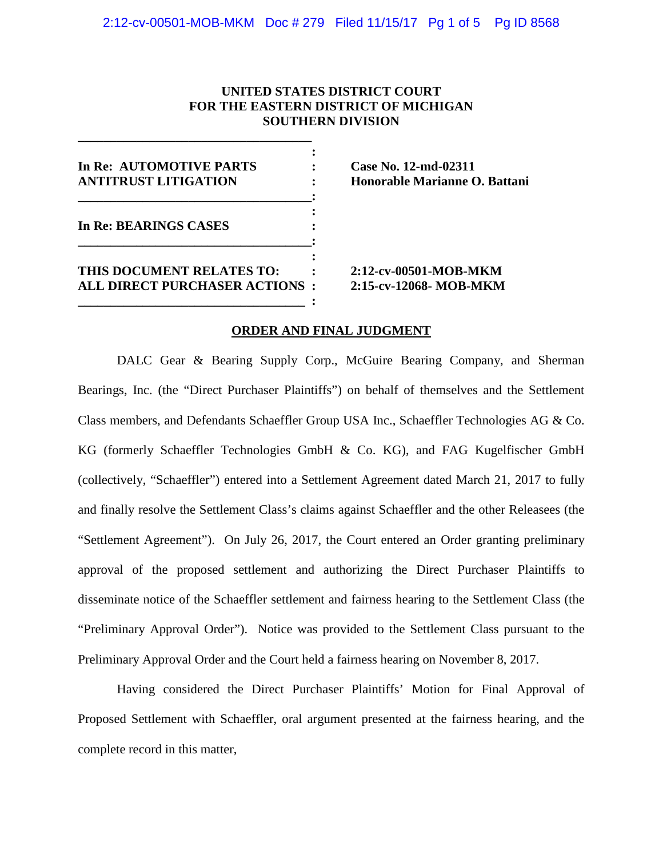# **UNITED STATES DISTRICT COURT FOR THE EASTERN DISTRICT OF MICHIGAN SOUTHERN DIVISION**

**: In Re: AUTOMOTIVE PARTS : Case No. 12-md-02311 ANTITRUST LITIGATION : Honorable Marianne O. Battani \_\_\_\_\_\_\_\_\_\_\_\_\_\_\_\_\_\_\_\_\_\_\_\_\_\_\_\_\_\_\_\_\_\_\_\_: : In Re: BEARINGS CASES : \_\_\_\_\_\_\_\_\_\_\_\_\_\_\_\_\_\_\_\_\_\_\_\_\_\_\_\_\_\_\_\_\_\_\_\_: : THIS DOCUMENT RELATES TO: : 2:12-cv-00501-MOB-MKM ALL DIRECT PURCHASER ACTIONS : 2:15-cv-12068- MOB-MKM \_\_\_\_\_\_\_\_\_\_\_\_\_\_\_\_\_\_\_\_\_\_\_\_\_\_\_\_\_\_\_\_\_\_\_ :**

**\_\_\_\_\_\_\_\_\_\_\_\_\_\_\_\_\_\_\_\_\_\_\_\_\_\_\_\_\_\_\_\_\_\_\_\_**

### **ORDER AND FINAL JUDGMENT**

DALC Gear & Bearing Supply Corp., McGuire Bearing Company, and Sherman Bearings, Inc. (the "Direct Purchaser Plaintiffs") on behalf of themselves and the Settlement Class members, and Defendants Schaeffler Group USA Inc., Schaeffler Technologies AG & Co. KG (formerly Schaeffler Technologies GmbH & Co. KG), and FAG Kugelfischer GmbH (collectively, "Schaeffler") entered into a Settlement Agreement dated March 21, 2017 to fully and finally resolve the Settlement Class's claims against Schaeffler and the other Releasees (the "Settlement Agreement"). On July 26, 2017, the Court entered an Order granting preliminary approval of the proposed settlement and authorizing the Direct Purchaser Plaintiffs to disseminate notice of the Schaeffler settlement and fairness hearing to the Settlement Class (the "Preliminary Approval Order"). Notice was provided to the Settlement Class pursuant to the Preliminary Approval Order and the Court held a fairness hearing on November 8, 2017.

Having considered the Direct Purchaser Plaintiffs' Motion for Final Approval of Proposed Settlement with Schaeffler, oral argument presented at the fairness hearing, and the complete record in this matter,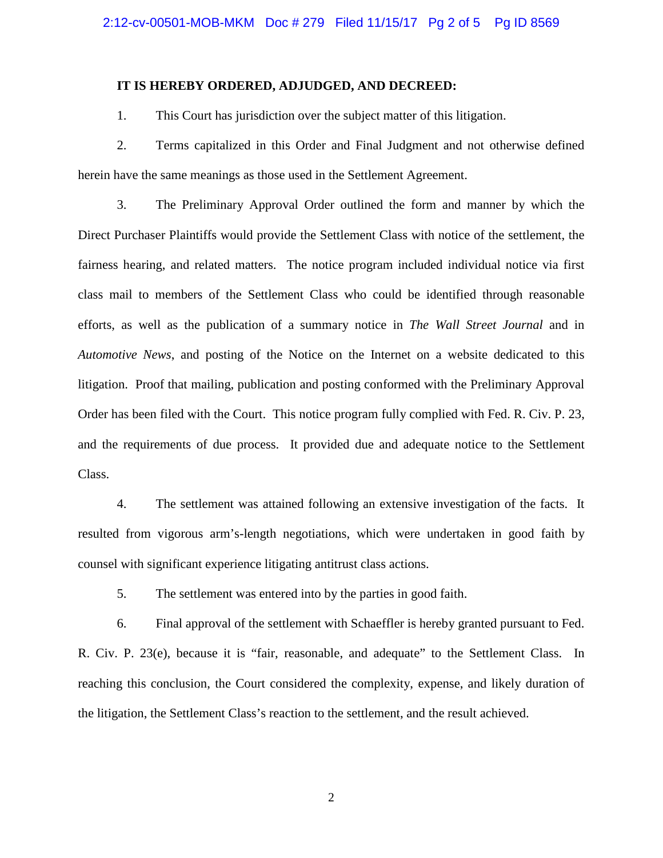#### **IT IS HEREBY ORDERED, ADJUDGED, AND DECREED:**

1. This Court has jurisdiction over the subject matter of this litigation.

2. Terms capitalized in this Order and Final Judgment and not otherwise defined herein have the same meanings as those used in the Settlement Agreement.

3. The Preliminary Approval Order outlined the form and manner by which the Direct Purchaser Plaintiffs would provide the Settlement Class with notice of the settlement, the fairness hearing, and related matters. The notice program included individual notice via first class mail to members of the Settlement Class who could be identified through reasonable efforts, as well as the publication of a summary notice in *The Wall Street Journal* and in *Automotive News*, and posting of the Notice on the Internet on a website dedicated to this litigation. Proof that mailing, publication and posting conformed with the Preliminary Approval Order has been filed with the Court. This notice program fully complied with Fed. R. Civ. P. 23, and the requirements of due process. It provided due and adequate notice to the Settlement Class.

4. The settlement was attained following an extensive investigation of the facts. It resulted from vigorous arm's-length negotiations, which were undertaken in good faith by counsel with significant experience litigating antitrust class actions.

5. The settlement was entered into by the parties in good faith.

6. Final approval of the settlement with Schaeffler is hereby granted pursuant to Fed. R. Civ. P. 23(e), because it is "fair, reasonable, and adequate" to the Settlement Class. In reaching this conclusion, the Court considered the complexity, expense, and likely duration of the litigation, the Settlement Class's reaction to the settlement, and the result achieved.

2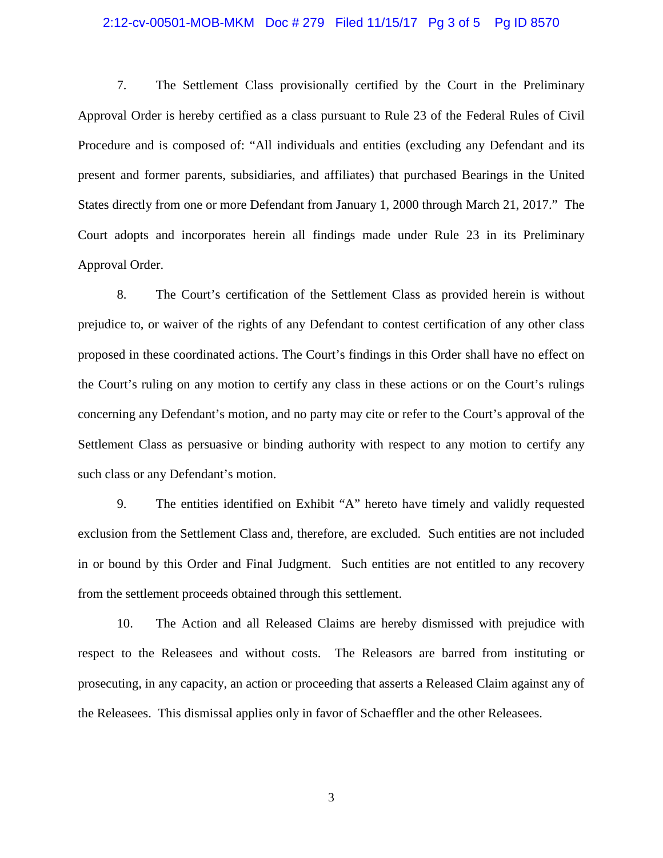#### 2:12-cv-00501-MOB-MKM Doc # 279 Filed 11/15/17 Pg 3 of 5 Pg ID 8570

7. The Settlement Class provisionally certified by the Court in the Preliminary Approval Order is hereby certified as a class pursuant to Rule 23 of the Federal Rules of Civil Procedure and is composed of: "All individuals and entities (excluding any Defendant and its present and former parents, subsidiaries, and affiliates) that purchased Bearings in the United States directly from one or more Defendant from January 1, 2000 through March 21, 2017." The Court adopts and incorporates herein all findings made under Rule 23 in its Preliminary Approval Order.

8. The Court's certification of the Settlement Class as provided herein is without prejudice to, or waiver of the rights of any Defendant to contest certification of any other class proposed in these coordinated actions. The Court's findings in this Order shall have no effect on the Court's ruling on any motion to certify any class in these actions or on the Court's rulings concerning any Defendant's motion, and no party may cite or refer to the Court's approval of the Settlement Class as persuasive or binding authority with respect to any motion to certify any such class or any Defendant's motion.

9. The entities identified on Exhibit "A" hereto have timely and validly requested exclusion from the Settlement Class and, therefore, are excluded. Such entities are not included in or bound by this Order and Final Judgment. Such entities are not entitled to any recovery from the settlement proceeds obtained through this settlement.

10. The Action and all Released Claims are hereby dismissed with prejudice with respect to the Releasees and without costs. The Releasors are barred from instituting or prosecuting, in any capacity, an action or proceeding that asserts a Released Claim against any of the Releasees. This dismissal applies only in favor of Schaeffler and the other Releasees.

3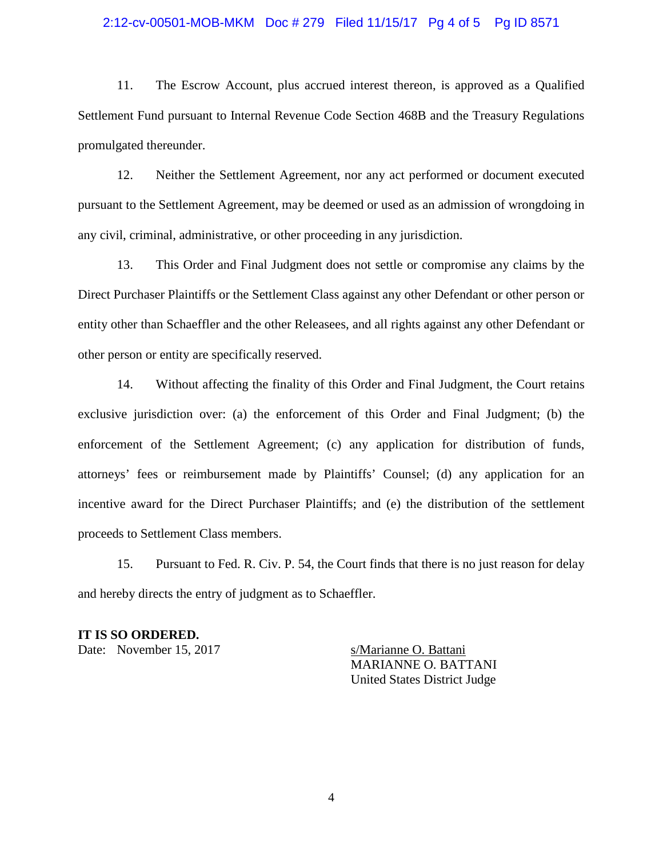### 2:12-cv-00501-MOB-MKM Doc # 279 Filed 11/15/17 Pg 4 of 5 Pg ID 8571

11. The Escrow Account, plus accrued interest thereon, is approved as a Qualified Settlement Fund pursuant to Internal Revenue Code Section 468B and the Treasury Regulations promulgated thereunder.

12. Neither the Settlement Agreement, nor any act performed or document executed pursuant to the Settlement Agreement, may be deemed or used as an admission of wrongdoing in any civil, criminal, administrative, or other proceeding in any jurisdiction.

13. This Order and Final Judgment does not settle or compromise any claims by the Direct Purchaser Plaintiffs or the Settlement Class against any other Defendant or other person or entity other than Schaeffler and the other Releasees, and all rights against any other Defendant or other person or entity are specifically reserved.

14. Without affecting the finality of this Order and Final Judgment, the Court retains exclusive jurisdiction over: (a) the enforcement of this Order and Final Judgment; (b) the enforcement of the Settlement Agreement; (c) any application for distribution of funds, attorneys' fees or reimbursement made by Plaintiffs' Counsel; (d) any application for an incentive award for the Direct Purchaser Plaintiffs; and (e) the distribution of the settlement proceeds to Settlement Class members.

15. Pursuant to Fed. R. Civ. P. 54, the Court finds that there is no just reason for delay and hereby directs the entry of judgment as to Schaeffler.

## **IT IS SO ORDERED.**

Date: November 15, 2017 s/Marianne O. Battani

MARIANNE O. BATTANI United States District Judge